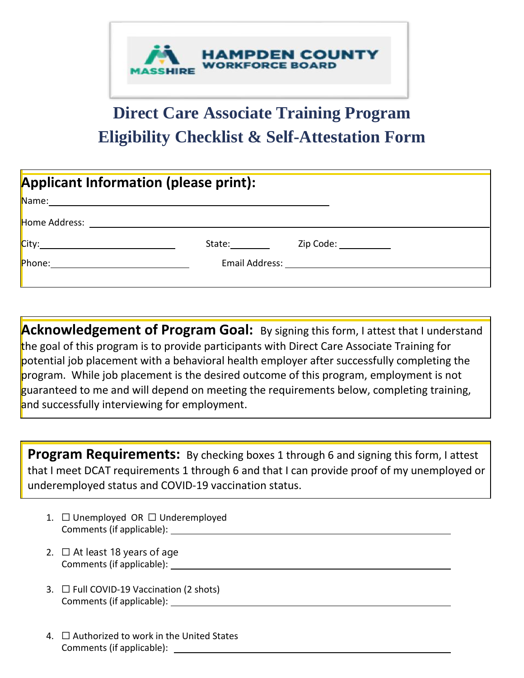

## **Direct Care Associate Training Program Eligibility Checklist & Self-Attestation Form**

| <b>Applicant Information (please print):</b>    |        |  |  |  |  |
|-------------------------------------------------|--------|--|--|--|--|
|                                                 |        |  |  |  |  |
|                                                 |        |  |  |  |  |
|                                                 | State: |  |  |  |  |
| <mark>Phone:__________________________</mark> _ |        |  |  |  |  |
|                                                 |        |  |  |  |  |

**Acknowledgement of Program Goal:** By signing this form, I attest that I understand the goal of this program is to provide participants with Direct Care Associate Training for potential job placement with a behavioral health employer after successfully completing the program. While job placement is the desired outcome of this program, employment is not guaranteed to me and will depend on meeting the requirements below, completing training, and successfully interviewing for employment.

**Program Requirements:** By checking boxes 1 through 6 and signing this form, I attest that I meet DCAT requirements 1 through 6 and that I can provide proof of my unemployed or underemployed status and COVID-19 vaccination status.

- 1. □ Unemployed OR □ Underemployed Comments (if applicable):
- 2.  $\Box$  At least 18 years of age Comments (if applicable):
- 3. ☐ Full COVID-19 Vaccination (2 shots) Comments (if applicable):
- 4. ☐ Authorized to work in the United States Comments (if applicable):